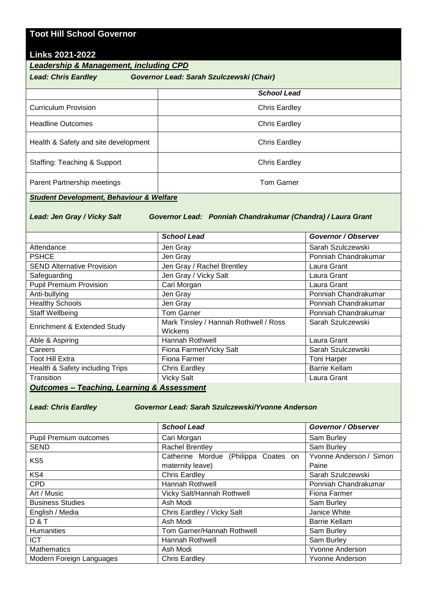## **Toot Hill School Governor**

## **Links 2021-2022**

*Leadership & Management, including CPD*

| <b>Lead: Chris Eardley</b><br>Governor Lead: Sarah Szulczewski (Chair) |                      |  |
|------------------------------------------------------------------------|----------------------|--|
|                                                                        | <b>School Lead</b>   |  |
| Curriculum Provision                                                   | Chris Eardley        |  |
| <b>Headline Outcomes</b>                                               | <b>Chris Eardley</b> |  |
| Health & Safety and site development                                   | <b>Chris Eardley</b> |  |
| Staffing: Teaching & Support                                           | <b>Chris Eardley</b> |  |
| Parent Partnership meetings                                            | <b>Tom Garner</b>    |  |

## *Student Development, Behaviour & Welfare*

*Lead: Jen Gray / Vicky Salt Governor Lead: Ponniah Chandrakumar (Chandra) / Laura Grant* 

|                                   | <b>School Lead</b>                                      | Governor / Observer  |  |  |
|-----------------------------------|---------------------------------------------------------|----------------------|--|--|
| Attendance                        | Jen Gray                                                | Sarah Szulczewski    |  |  |
| <b>PSHCE</b>                      | Jen Gray                                                | Ponniah Chandrakumar |  |  |
| <b>SEND Alternative Provision</b> | Jen Gray / Rachel Brentley                              | Laura Grant          |  |  |
| Safeguarding                      | Jen Gray / Vicky Salt                                   | Laura Grant          |  |  |
| <b>Pupil Premium Provision</b>    | Cari Morgan                                             | Laura Grant          |  |  |
| Anti-bullying                     | Jen Gray                                                | Ponniah Chandrakumar |  |  |
| <b>Healthy Schools</b>            | Jen Gray                                                | Ponniah Chandrakumar |  |  |
| Staff Wellbeing                   | <b>Tom Garner</b>                                       | Ponniah Chandrakumar |  |  |
| Enrichment & Extended Study       | Mark Tinsley / Hannah Rothwell / Ross<br><b>Wickens</b> | Sarah Szulczewski    |  |  |
| Able & Aspiring                   | <b>Hannah Rothwell</b>                                  | Laura Grant          |  |  |
| Careers                           | Fiona Farmer/Vicky Salt                                 | Sarah Szulczewski    |  |  |
| <b>Toot Hill Extra</b>            | Fiona Farmer                                            | <b>Toni Harper</b>   |  |  |
| Health & Safety including Trips   | <b>Chris Eardley</b>                                    | <b>Barrie Kellam</b> |  |  |
| Transition                        | <b>Vicky Salt</b>                                       | Laura Grant          |  |  |
| .                                 |                                                         |                      |  |  |

*Outcomes – Teaching, Learning & Assessment*

*Lead: Chris Eardley Governor Lead: Sarah Szulczewski/Yvonne Anderson* 

|                               | <b>School Lead</b>                   | Governor / Observer     |
|-------------------------------|--------------------------------------|-------------------------|
| <b>Pupil Premium outcomes</b> | Cari Morgan                          | Sam Burley              |
| SEND                          | Rachel Brentley                      | Sam Burley              |
| KS <sub>5</sub>               | Catherine Mordue (Philippa Coates on | Yvonne Anderson / Simon |
|                               | maternity leave)                     | Paine                   |
| KS4                           | <b>Chris Eardley</b>                 | Sarah Szulczewski       |
| <b>CPD</b>                    | Hannah Rothwell                      | Ponniah Chandrakumar    |
| Art / Music                   | Vicky Salt/Hannah Rothwell           | Fiona Farmer            |
| <b>Business Studies</b>       | Ash Modi                             | Sam Burley              |
| English / Media               | Chris Eardley / Vicky Salt           | Janice White            |
| D&T                           | Ash Modi                             | <b>Barrie Kellam</b>    |
| Humanities                    | Tom Garner/Hannah Rothwell           | Sam Burley              |
| <b>ICT</b>                    | <b>Hannah Rothwell</b>               | Sam Burley              |
| Mathematics                   | Ash Modi                             | <b>Yvonne Anderson</b>  |
| Modern Foreign Languages      | <b>Chris Eardley</b>                 | <b>Yvonne Anderson</b>  |